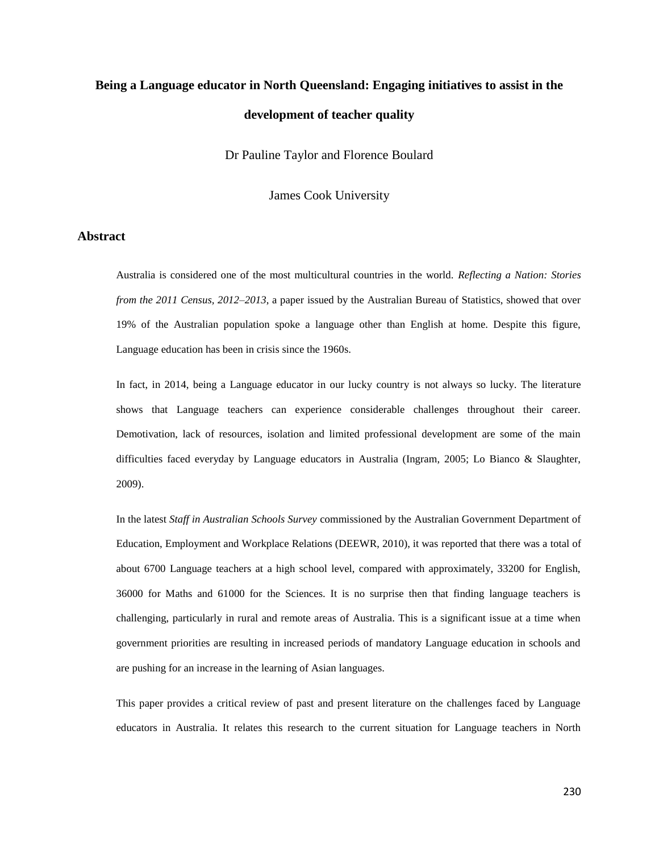# **Being a Language educator in North Queensland: Engaging initiatives to assist in the development of teacher quality**

Dr Pauline Taylor and Florence Boulard

James Cook University

## **Abstract**

Australia is considered one of the most multicultural countries in the world. *Reflecting a Nation: Stories from the 2011 Census, 2012–2013*, a paper issued by the Australian Bureau of Statistics, showed that over 19% of the Australian population spoke a language other than English at home. Despite this figure, Language education has been in crisis since the 1960s.

In fact, in 2014, being a Language educator in our lucky country is not always so lucky. The literature shows that Language teachers can experience considerable challenges throughout their career. Demotivation, lack of resources, isolation and limited professional development are some of the main difficulties faced everyday by Language educators in Australia (Ingram, 2005; Lo Bianco & Slaughter, 2009).

In the latest *Staff in Australian Schools Survey* commissioned by the Australian Government Department of Education, Employment and Workplace Relations (DEEWR, 2010), it was reported that there was a total of about 6700 Language teachers at a high school level, compared with approximately, 33200 for English, 36000 for Maths and 61000 for the Sciences. It is no surprise then that finding language teachers is challenging, particularly in rural and remote areas of Australia. This is a significant issue at a time when government priorities are resulting in increased periods of mandatory Language education in schools and are pushing for an increase in the learning of Asian languages.

This paper provides a critical review of past and present literature on the challenges faced by Language educators in Australia. It relates this research to the current situation for Language teachers in North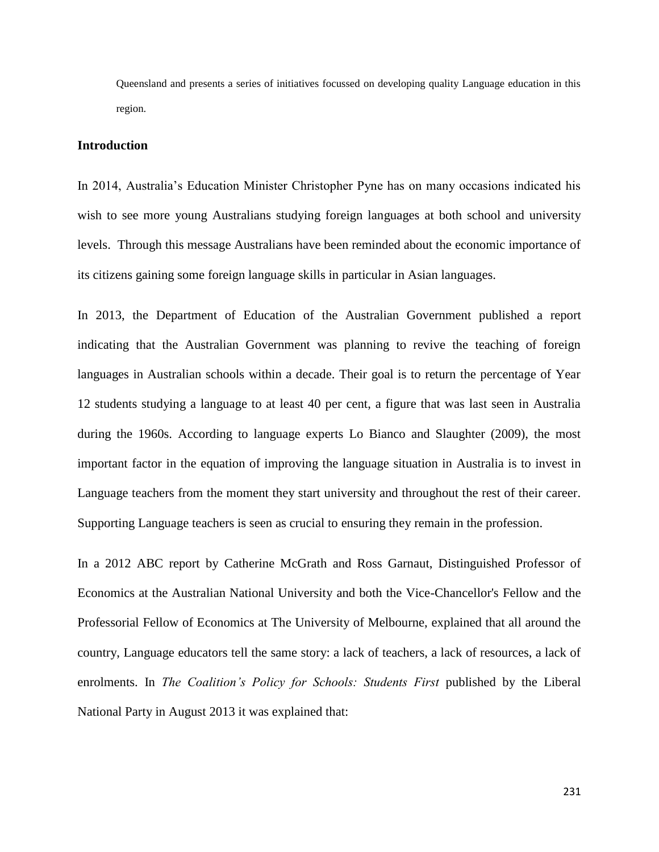Queensland and presents a series of initiatives focussed on developing quality Language education in this region.

#### **Introduction**

In 2014, Australia's Education Minister Christopher Pyne has on many occasions indicated his wish to see more young Australians studying foreign languages at both school and university levels. Through this message Australians have been reminded about the economic importance of its citizens gaining some foreign language skills in particular in Asian languages.

In 2013, the Department of Education of the Australian Government published a report indicating that the Australian Government was planning to revive the teaching of foreign languages in Australian schools within a decade. Their goal is to return the percentage of Year 12 students studying a language to at least 40 per cent, a figure that was last seen in Australia during the 1960s. According to language experts Lo Bianco and Slaughter (2009), the most important factor in the equation of improving the language situation in Australia is to invest in Language teachers from the moment they start university and throughout the rest of their career. Supporting Language teachers is seen as crucial to ensuring they remain in the profession.

In a 2012 ABC report by Catherine McGrath and Ross Garnaut, Distinguished Professor of Economics at the Australian National University and both the Vice-Chancellor's Fellow and the Professorial Fellow of Economics at The University of Melbourne, explained that all around the country, Language educators tell the same story: a lack of teachers, a lack of resources, a lack of enrolments. In *The Coalition's Policy for Schools: Students First* published by the Liberal National Party in August 2013 it was explained that: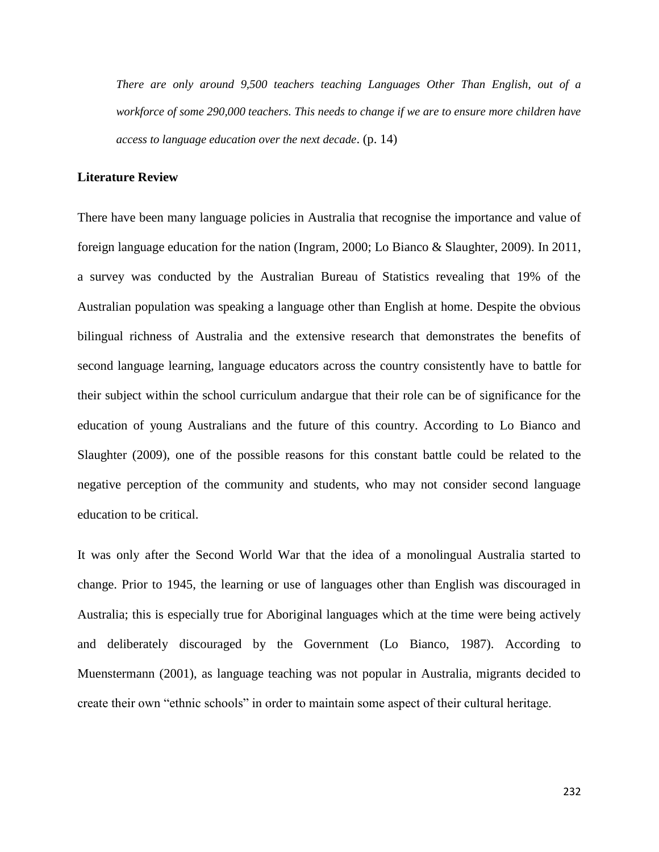*There are only around 9,500 teachers teaching Languages Other Than English, out of a workforce of some 290,000 teachers. This needs to change if we are to ensure more children have access to language education over the next decade*. (p. 14)

# **Literature Review**

There have been many language policies in Australia that recognise the importance and value of foreign language education for the nation (Ingram, 2000; Lo Bianco & Slaughter, 2009). In 2011, a survey was conducted by the Australian Bureau of Statistics revealing that 19% of the Australian population was speaking a language other than English at home. Despite the obvious bilingual richness of Australia and the extensive research that demonstrates the benefits of second language learning, language educators across the country consistently have to battle for their subject within the school curriculum andargue that their role can be of significance for the education of young Australians and the future of this country. According to Lo Bianco and Slaughter (2009), one of the possible reasons for this constant battle could be related to the negative perception of the community and students, who may not consider second language education to be critical.

It was only after the Second World War that the idea of a monolingual Australia started to change. Prior to 1945, the learning or use of languages other than English was discouraged in Australia; this is especially true for Aboriginal languages which at the time were being actively and deliberately discouraged by the Government (Lo Bianco, 1987). According to Muenstermann (2001), as language teaching was not popular in Australia, migrants decided to create their own "ethnic schools" in order to maintain some aspect of their cultural heritage.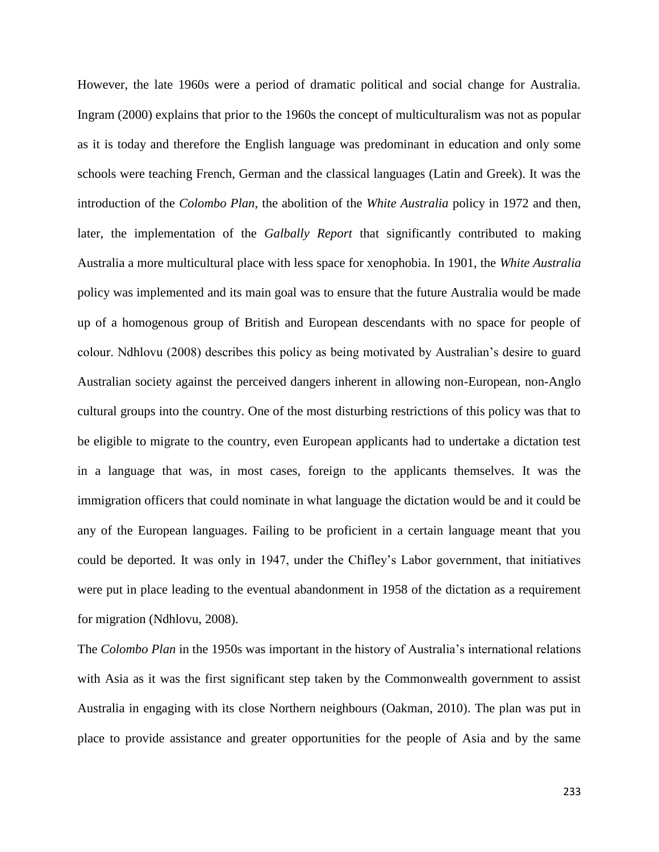However, the late 1960s were a period of dramatic political and social change for Australia. Ingram (2000) explains that prior to the 1960s the concept of multiculturalism was not as popular as it is today and therefore the English language was predominant in education and only some schools were teaching French, German and the classical languages (Latin and Greek). It was the introduction of the *Colombo Plan*, the abolition of the *White Australia* policy in 1972 and then, later, the implementation of the *Galbally Report* that significantly contributed to making Australia a more multicultural place with less space for xenophobia. In 1901, the *White Australia* policy was implemented and its main goal was to ensure that the future Australia would be made up of a homogenous group of British and European descendants with no space for people of colour. Ndhlovu (2008) describes this policy as being motivated by Australian's desire to guard Australian society against the perceived dangers inherent in allowing non-European, non-Anglo cultural groups into the country. One of the most disturbing restrictions of this policy was that to be eligible to migrate to the country, even European applicants had to undertake a dictation test in a language that was, in most cases, foreign to the applicants themselves. It was the immigration officers that could nominate in what language the dictation would be and it could be any of the European languages. Failing to be proficient in a certain language meant that you could be deported. It was only in 1947, under the Chifley's Labor government, that initiatives were put in place leading to the eventual abandonment in 1958 of the dictation as a requirement for migration (Ndhlovu, 2008).

The *Colombo Plan* in the 1950s was important in the history of Australia's international relations with Asia as it was the first significant step taken by the Commonwealth government to assist Australia in engaging with its close Northern neighbours (Oakman, 2010). The plan was put in place to provide assistance and greater opportunities for the people of Asia and by the same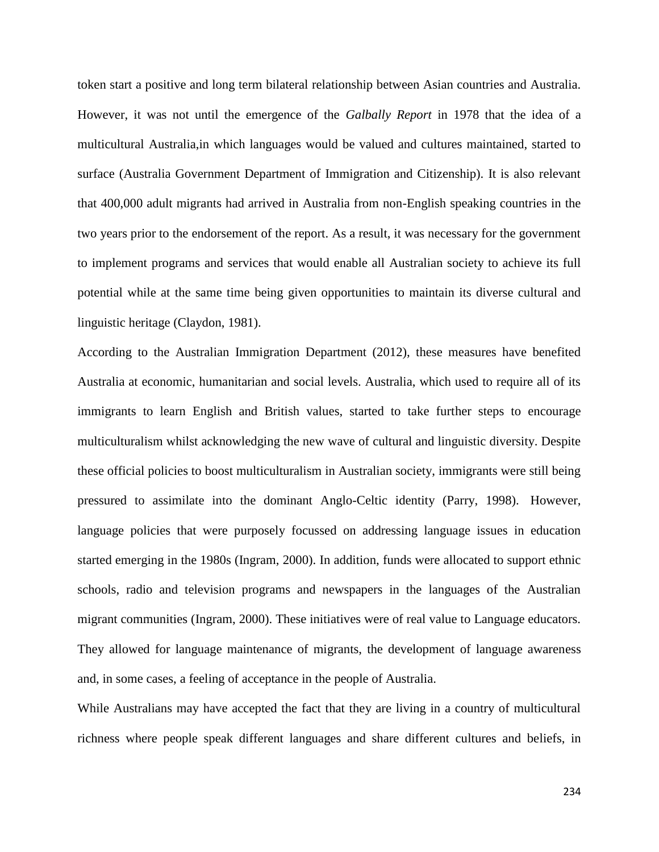token start a positive and long term bilateral relationship between Asian countries and Australia. However, it was not until the emergence of the *Galbally Report* in 1978 that the idea of a multicultural Australia,in which languages would be valued and cultures maintained, started to surface (Australia Government Department of Immigration and Citizenship). It is also relevant that 400,000 adult migrants had arrived in Australia from non-English speaking countries in the two years prior to the endorsement of the report. As a result, it was necessary for the government to implement programs and services that would enable all Australian society to achieve its full potential while at the same time being given opportunities to maintain its diverse cultural and linguistic heritage (Claydon, 1981).

According to the Australian Immigration Department (2012), these measures have benefited Australia at economic, humanitarian and social levels. Australia, which used to require all of its immigrants to learn English and British values, started to take further steps to encourage multiculturalism whilst acknowledging the new wave of cultural and linguistic diversity. Despite these official policies to boost multiculturalism in Australian society, immigrants were still being pressured to assimilate into the dominant Anglo-Celtic identity (Parry, 1998). However, language policies that were purposely focussed on addressing language issues in education started emerging in the 1980s (Ingram, 2000). In addition, funds were allocated to support ethnic schools, radio and television programs and newspapers in the languages of the Australian migrant communities (Ingram, 2000). These initiatives were of real value to Language educators. They allowed for language maintenance of migrants, the development of language awareness and, in some cases, a feeling of acceptance in the people of Australia.

While Australians may have accepted the fact that they are living in a country of multicultural richness where people speak different languages and share different cultures and beliefs, in

234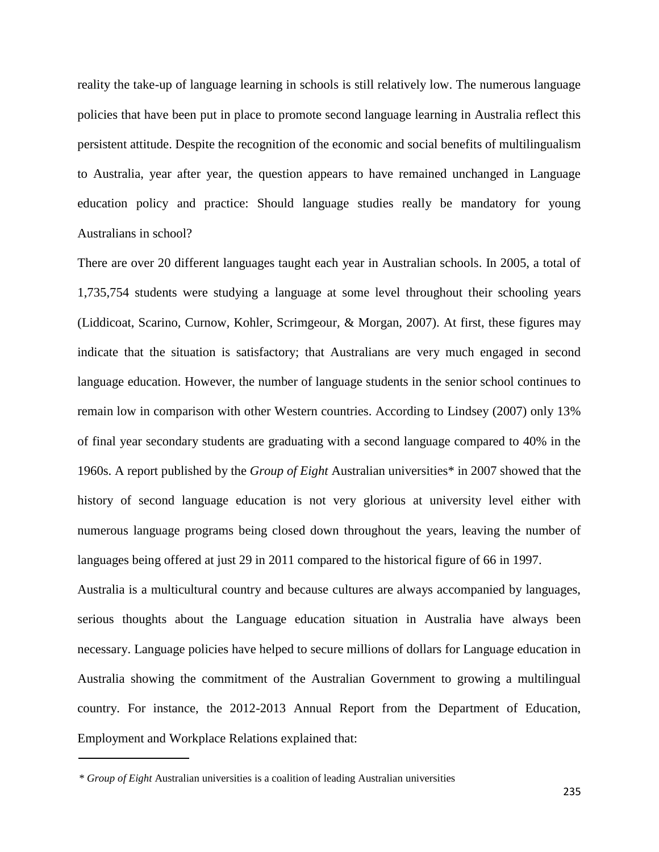reality the take-up of language learning in schools is still relatively low. The numerous language policies that have been put in place to promote second language learning in Australia reflect this persistent attitude. Despite the recognition of the economic and social benefits of multilingualism to Australia, year after year, the question appears to have remained unchanged in Language education policy and practice: Should language studies really be mandatory for young Australians in school?

There are over 20 different languages taught each year in Australian schools. In 2005, a total of 1,735,754 students were studying a language at some level throughout their schooling years (Liddicoat, Scarino, Curnow, Kohler, Scrimgeour, & Morgan, 2007). At first, these figures may indicate that the situation is satisfactory; that Australians are very much engaged in second language education. However, the number of language students in the senior school continues to remain low in comparison with other Western countries. According to Lindsey (2007) only 13% of final year secondary students are graduating with a second language compared to 40% in the 1960s. A report published by the *Group of Eight* Australian universities\* in 2007 showed that the history of second language education is not very glorious at university level either with numerous language programs being closed down throughout the years, leaving the number of languages being offered at just 29 in 2011 compared to the historical figure of 66 in 1997.

Australia is a multicultural country and because cultures are always accompanied by languages, serious thoughts about the Language education situation in Australia have always been necessary. Language policies have helped to secure millions of dollars for Language education in Australia showing the commitment of the Australian Government to growing a multilingual country. For instance, the 2012-2013 Annual Report from the Department of Education, Employment and Workplace Relations explained that:

*<sup>\*</sup> Group of Eight* Australian universities is a coalition of leading Australian universities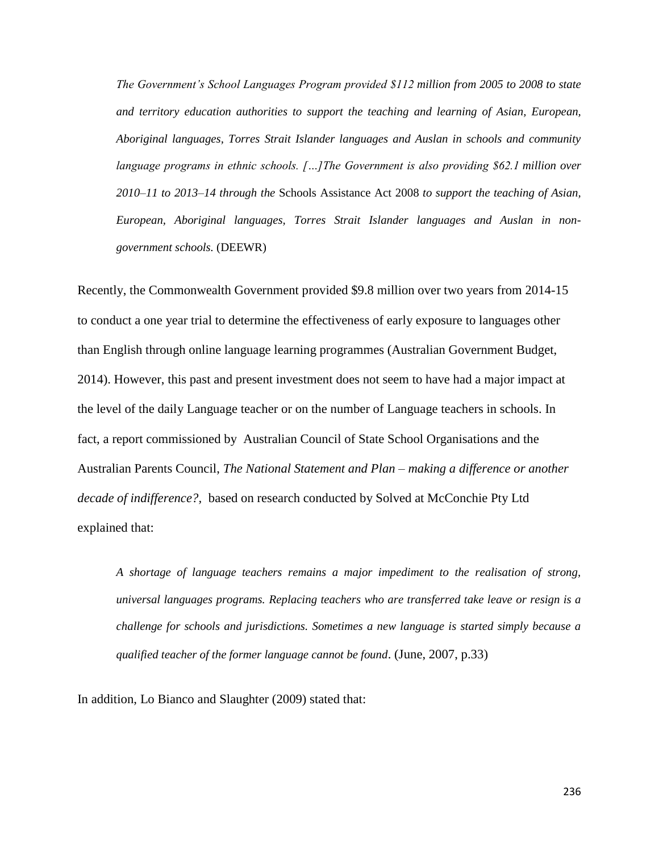*The Government's School Languages Program provided \$112 million from 2005 to 2008 to state and territory education authorities to support the teaching and learning of Asian, European, Aboriginal languages, Torres Strait Islander languages and Auslan in schools and community language programs in ethnic schools. […]The Government is also providing \$62.1 million over 2010–11 to 2013–14 through the* Schools Assistance Act 2008 *to support the teaching of Asian, European, Aboriginal languages, Torres Strait Islander languages and Auslan in nongovernment schools.* (DEEWR)

Recently, the Commonwealth Government provided \$9.8 million over two years from 2014-15 to conduct a one year trial to determine the effectiveness of early exposure to languages other than English through online language learning programmes (Australian Government Budget, 2014). However, this past and present investment does not seem to have had a major impact at the level of the daily Language teacher or on the number of Language teachers in schools. In fact, a report commissioned by Australian Council of State School Organisations and the Australian Parents Council, *The National Statement and Plan – making a difference or another decade of indifference?,* based on research conducted by Solved at McConchie Pty Ltd explained that:

*A shortage of language teachers remains a major impediment to the realisation of strong, universal languages programs. Replacing teachers who are transferred take leave or resign is a challenge for schools and jurisdictions. Sometimes a new language is started simply because a qualified teacher of the former language cannot be found*. (June, 2007, p.33)

In addition, Lo Bianco and Slaughter (2009) stated that: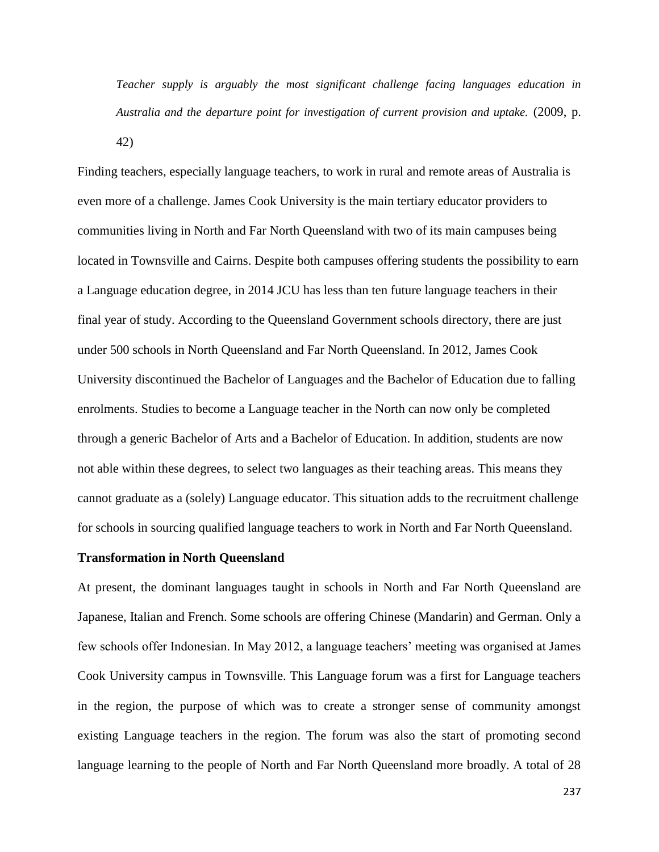*Teacher supply is arguably the most significant challenge facing languages education in Australia and the departure point for investigation of current provision and uptake.* (2009, p. 42)

Finding teachers, especially language teachers, to work in rural and remote areas of Australia is even more of a challenge. James Cook University is the main tertiary educator providers to communities living in North and Far North Queensland with two of its main campuses being located in Townsville and Cairns. Despite both campuses offering students the possibility to earn a Language education degree, in 2014 JCU has less than ten future language teachers in their final year of study. According to the Queensland Government schools directory, there are just under 500 schools in North Queensland and Far North Queensland. In 2012, James Cook University discontinued the Bachelor of Languages and the Bachelor of Education due to falling enrolments. Studies to become a Language teacher in the North can now only be completed through a generic Bachelor of Arts and a Bachelor of Education. In addition, students are now not able within these degrees, to select two languages as their teaching areas. This means they cannot graduate as a (solely) Language educator. This situation adds to the recruitment challenge for schools in sourcing qualified language teachers to work in North and Far North Queensland.

#### **Transformation in North Queensland**

At present, the dominant languages taught in schools in North and Far North Queensland are Japanese, Italian and French. Some schools are offering Chinese (Mandarin) and German. Only a few schools offer Indonesian. In May 2012, a language teachers' meeting was organised at James Cook University campus in Townsville. This Language forum was a first for Language teachers in the region, the purpose of which was to create a stronger sense of community amongst existing Language teachers in the region. The forum was also the start of promoting second language learning to the people of North and Far North Queensland more broadly. A total of 28

237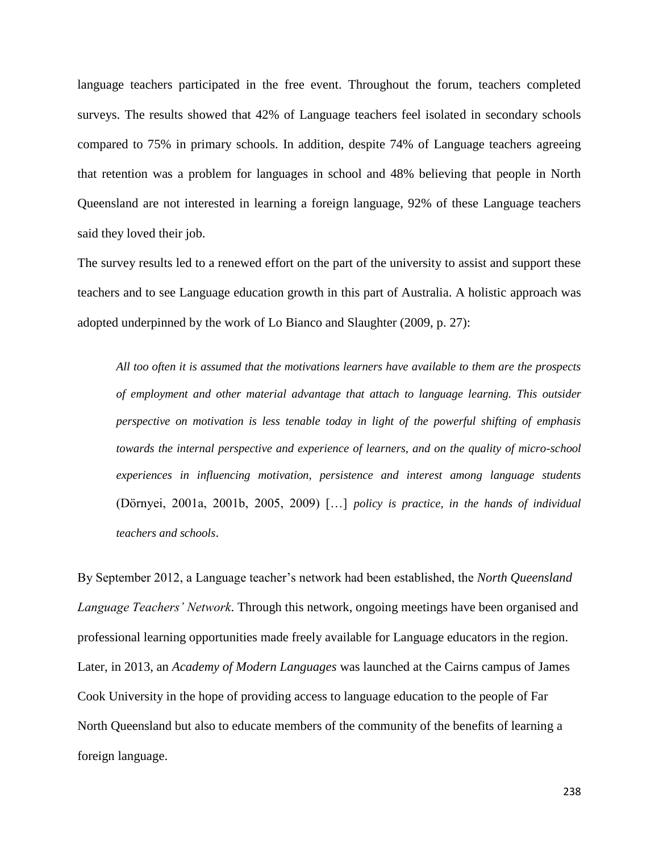language teachers participated in the free event. Throughout the forum, teachers completed surveys. The results showed that 42% of Language teachers feel isolated in secondary schools compared to 75% in primary schools. In addition, despite 74% of Language teachers agreeing that retention was a problem for languages in school and 48% believing that people in North Queensland are not interested in learning a foreign language, 92% of these Language teachers said they loved their job.

The survey results led to a renewed effort on the part of the university to assist and support these teachers and to see Language education growth in this part of Australia. A holistic approach was adopted underpinned by the work of Lo Bianco and Slaughter (2009, p. 27):

*All too often it is assumed that the motivations learners have available to them are the prospects of employment and other material advantage that attach to language learning. This outsider perspective on motivation is less tenable today in light of the powerful shifting of emphasis towards the internal perspective and experience of learners, and on the quality of micro-school experiences in influencing motivation, persistence and interest among language students* (Dörnyei, 2001a, 2001b, 2005, 2009) […] *policy is practice, in the hands of individual teachers and schools*.

By September 2012, a Language teacher's network had been established, the *North Queensland Language Teachers' Network*. Through this network, ongoing meetings have been organised and professional learning opportunities made freely available for Language educators in the region. Later, in 2013, an *Academy of Modern Languages* was launched at the Cairns campus of James Cook University in the hope of providing access to language education to the people of Far North Queensland but also to educate members of the community of the benefits of learning a foreign language.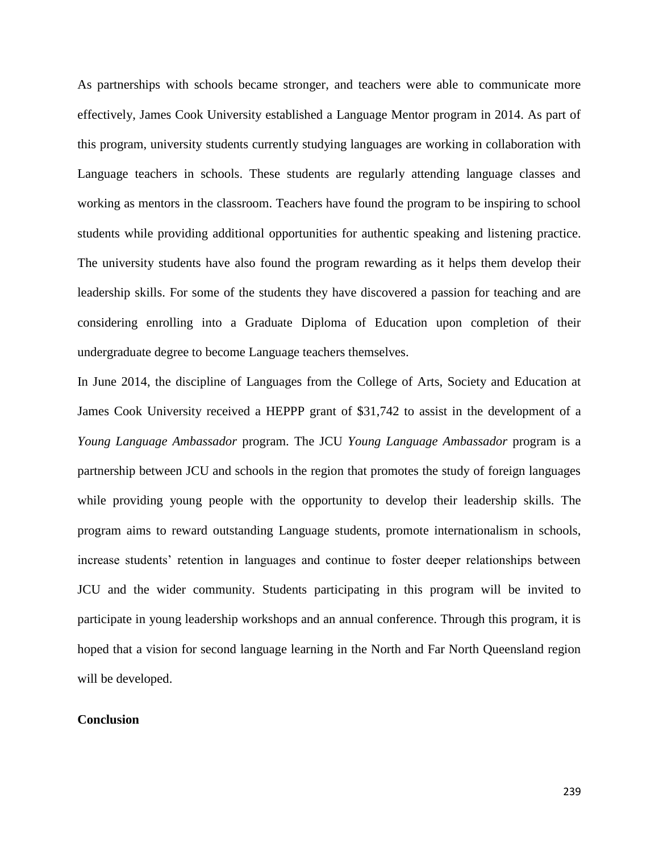As partnerships with schools became stronger, and teachers were able to communicate more effectively, James Cook University established a Language Mentor program in 2014. As part of this program, university students currently studying languages are working in collaboration with Language teachers in schools. These students are regularly attending language classes and working as mentors in the classroom. Teachers have found the program to be inspiring to school students while providing additional opportunities for authentic speaking and listening practice. The university students have also found the program rewarding as it helps them develop their leadership skills. For some of the students they have discovered a passion for teaching and are considering enrolling into a Graduate Diploma of Education upon completion of their undergraduate degree to become Language teachers themselves.

In June 2014, the discipline of Languages from the College of Arts, Society and Education at James Cook University received a HEPPP grant of \$31,742 to assist in the development of a *Young Language Ambassador* program. The JCU *Young Language Ambassador* program is a partnership between JCU and schools in the region that promotes the study of foreign languages while providing young people with the opportunity to develop their leadership skills. The program aims to reward outstanding Language students, promote internationalism in schools, increase students' retention in languages and continue to foster deeper relationships between JCU and the wider community. Students participating in this program will be invited to participate in young leadership workshops and an annual conference. Through this program, it is hoped that a vision for second language learning in the North and Far North Queensland region will be developed.

## **Conclusion**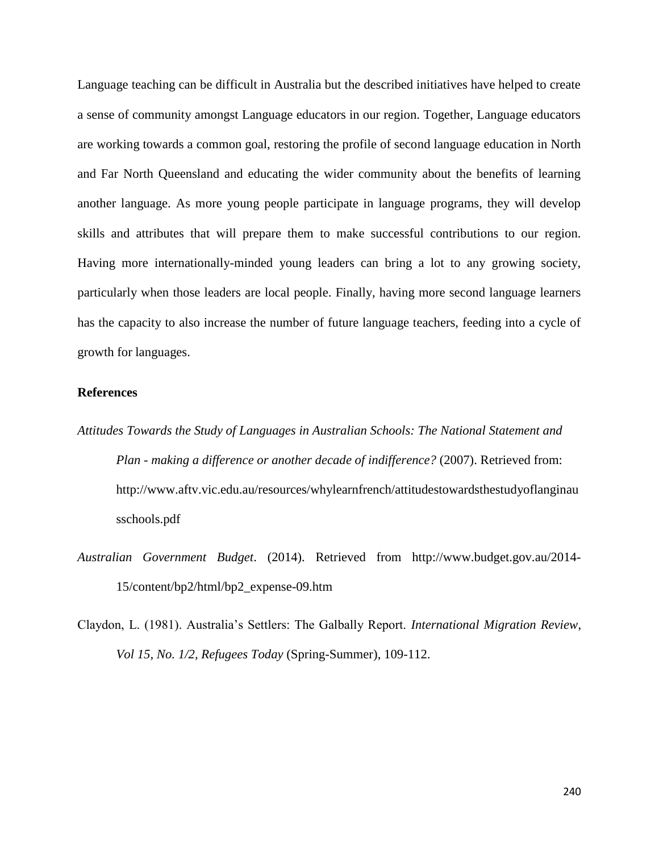Language teaching can be difficult in Australia but the described initiatives have helped to create a sense of community amongst Language educators in our region. Together, Language educators are working towards a common goal, restoring the profile of second language education in North and Far North Queensland and educating the wider community about the benefits of learning another language. As more young people participate in language programs, they will develop skills and attributes that will prepare them to make successful contributions to our region. Having more internationally-minded young leaders can bring a lot to any growing society, particularly when those leaders are local people. Finally, having more second language learners has the capacity to also increase the number of future language teachers, feeding into a cycle of growth for languages.

## **References**

- *Attitudes Towards the Study of Languages in Australian Schools: The National Statement and Plan - making a difference or another decade of indifference?* (2007). Retrieved from: http://www.aftv.vic.edu.au/resources/whylearnfrench/attitudestowardsthestudyoflanginau sschools.pdf
- *Australian Government Budget*. (2014). Retrieved from http://www.budget.gov.au/2014- 15/content/bp2/html/bp2\_expense-09.htm
- Claydon, L. (1981). Australia's Settlers: The Galbally Report. *International Migration Review*, *Vol 15, No. 1/2, Refugees Today* (Spring-Summer), 109-112.